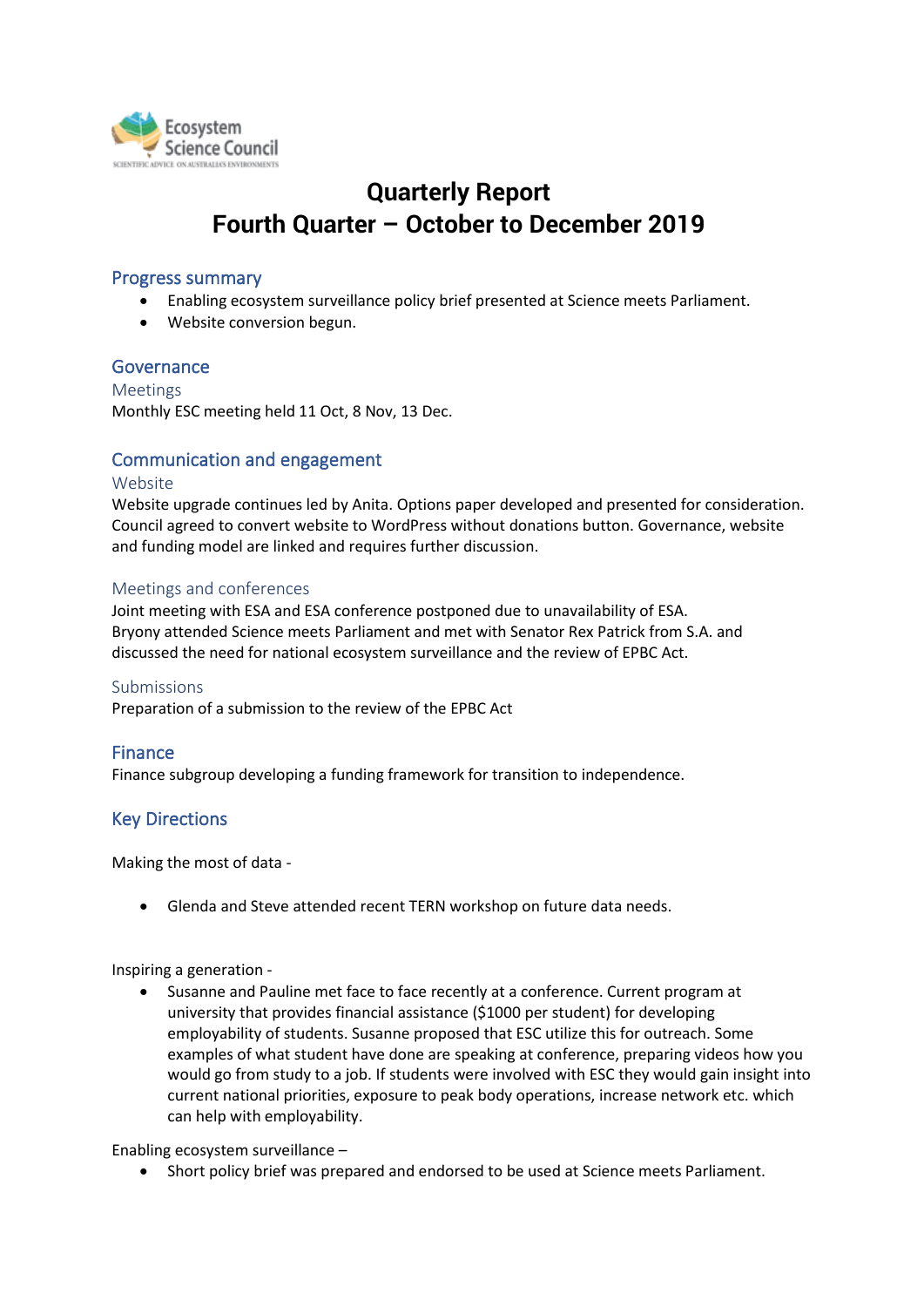

# **Quarterly Report Fourth Quarter – October to December 2019**

### Progress summary

- Enabling ecosystem surveillance policy brief presented at Science meets Parliament.
- Website conversion begun.

## Governance

Meetings Monthly ESC meeting held 11 Oct, 8 Nov, 13 Dec.

## Communication and engagement

#### Website

Website upgrade continues led by Anita. Options paper developed and presented for consideration. Council agreed to convert website to WordPress without donations button. Governance, website and funding model are linked and requires further discussion.

#### Meetings and conferences

Joint meeting with ESA and ESA conference postponed due to unavailability of ESA. Bryony attended Science meets Parliament and met with Senator Rex Patrick from S.A. and discussed the need for national ecosystem surveillance and the review of EPBC Act.

Submissions Preparation of a submission to the review of the EPBC Act

## Finance

Finance subgroup developing a funding framework for transition to independence.

## Key Directions

Making the most of data -

• Glenda and Steve attended recent TERN workshop on future data needs.

Inspiring a generation -

• Susanne and Pauline met face to face recently at a conference. Current program at university that provides financial assistance (\$1000 per student) for developing employability of students. Susanne proposed that ESC utilize this for outreach. Some examples of what student have done are speaking at conference, preparing videos how you would go from study to a job. If students were involved with ESC they would gain insight into current national priorities, exposure to peak body operations, increase network etc. which can help with employability.

Enabling ecosystem surveillance –

• Short policy brief was prepared and endorsed to be used at Science meets Parliament.